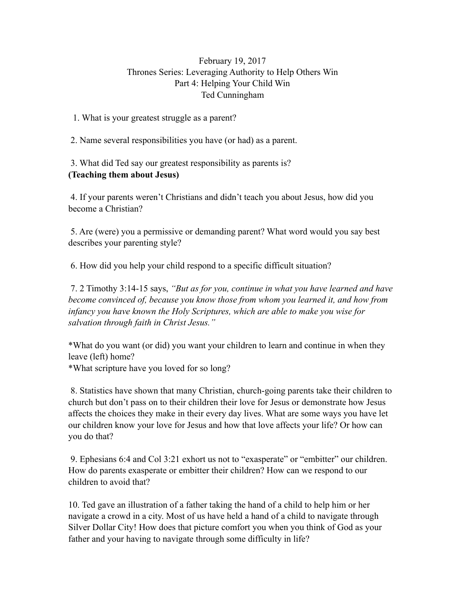## February 19, 2017 Thrones Series: Leveraging Authority to Help Others Win Part 4: Helping Your Child Win Ted Cunningham

1. What is your greatest struggle as a parent?

2. Name several responsibilities you have (or had) as a parent.

 3. What did Ted say our greatest responsibility as parents is? **(Teaching them about Jesus)** 

 4. If your parents weren't Christians and didn't teach you about Jesus, how did you become a Christian?

 5. Are (were) you a permissive or demanding parent? What word would you say best describes your parenting style?

6. How did you help your child respond to a specific difficult situation?

 7. 2 Timothy 3:14-15 says, *"But as for you, continue in what you have learned and have become convinced of, because you know those from whom you learned it, and how from infancy you have known the Holy Scriptures, which are able to make you wise for salvation through faith in Christ Jesus."*

\*What do you want (or did) you want your children to learn and continue in when they leave (left) home?

\*What scripture have you loved for so long?

 8. Statistics have shown that many Christian, church-going parents take their children to church but don't pass on to their children their love for Jesus or demonstrate how Jesus affects the choices they make in their every day lives. What are some ways you have let our children know your love for Jesus and how that love affects your life? Or how can you do that?

 9. Ephesians 6:4 and Col 3:21 exhort us not to "exasperate" or "embitter" our children. How do parents exasperate or embitter their children? How can we respond to our children to avoid that?

10. Ted gave an illustration of a father taking the hand of a child to help him or her navigate a crowd in a city. Most of us have held a hand of a child to navigate through Silver Dollar City! How does that picture comfort you when you think of God as your father and your having to navigate through some difficulty in life?